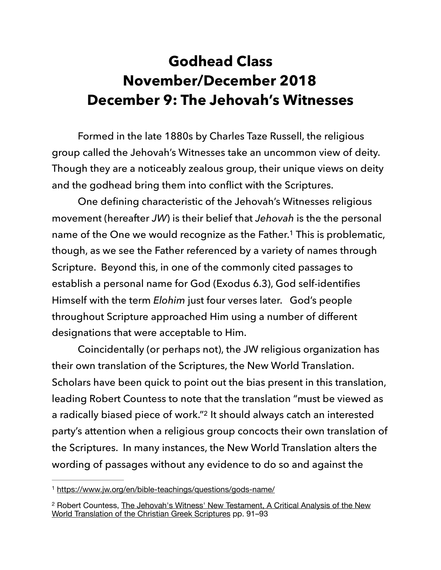## **Godhead Class November/December 2018 December 9: The Jehovah's Witnesses**

 Formed in the late 1880s by Charles Taze Russell, the religious group called the Jehovah's Witnesses take an uncommon view of deity. Though they are a noticeably zealous group, their unique views on deity and the godhead bring them into conflict with the Scriptures.

<span id="page-0-2"></span> One defining characteristic of the Jehovah's Witnesses religious movement (hereafter *JW*) is their belief that *Jehovah* is the the personal name of the One we would recognize as the Father.<sup>[1](#page-0-0)</sup> This is problematic, though, as we see the Father referenced by a variety of names through Scripture. Beyond this, in one of the commonly cited passages to establish a personal name for God (Exodus 6.3), God self-identifies Himself with the term *Elohim* just four verses later. God's people throughout Scripture approached Him using a number of different designations that were acceptable to Him.

<span id="page-0-3"></span> Coincidentally (or perhaps not), the JW religious organization has their own translation of the Scriptures, the New World Translation. Scholars have been quick to point out the bias present in this translation, leading Robert Countess to note that the translation "must be viewed as a radically biased piece of work."<sup>[2](#page-0-1)</sup> It should always catch an interested party's attention when a religious group concocts their own translation of the Scriptures. In many instances, the New World Translation alters the wording of passages without any evidence to do so and against the

<span id="page-0-0"></span><https://www.jw.org/en/bible-teachings/questions/gods-name/> [1](#page-0-2)

<span id="page-0-1"></span><sup>&</sup>lt;sup>[2](#page-0-3)</sup> Robert Countess, The Jehovah's Witness' New Testament, A Critical Analysis of the New World Translation of the Christian Greek Scriptures pp. 91–93